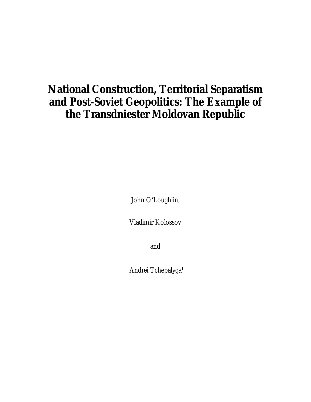# **National Construction, Territorial Separatism and Post-Soviet Geopolitics: The Example of the Transdniester Moldovan Republic**

John O'Loughlin,

Vladimir Kolossov

and

Andrei Tchepalyga**1**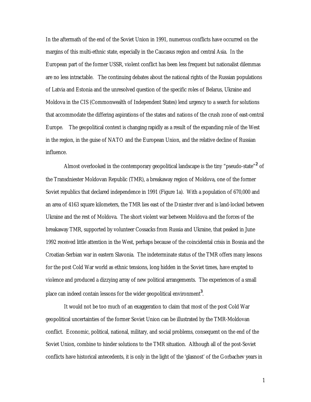In the aftermath of the end of the Soviet Union in 1991, numerous conflicts have occurred on the margins of this multi-ethnic state, especially in the Caucasus region and central Asia. In the European part of the former USSR, violent conflict has been less frequent but nationalist dilemmas are no less intractable. The continuing debates about the national rights of the Russian populations of Latvia and Estonia and the unresolved question of the specific roles of Belarus, Ukraine and Moldova in the CIS (Commonwealth of Independent States) lend urgency to a search for solutions that accommodate the differing aspirations of the states and nations of the crush zone of east-central Europe. The geopolitical context is changing rapidly as a result of the expanding role of the West in the region, in the guise of NATO and the European Union, and the relative decline of Russian influence.

Almost overlooked in the contemporary geopolitical landscape is the tiny "pseudo-state"**<sup>2</sup>** of the Transdniester Moldovan Republic (TMR), a breakaway region of Moldova, one of the former Soviet republics that declared independence in 1991 (Figure 1a). With a population of 670,000 and an area of 4163 square kilometers, the TMR lies east of the Dniester river and is land-locked between Ukraine and the rest of Moldova. The short violent war between Moldova and the forces of the breakaway TMR, supported by volunteer Cossacks from Russia and Ukraine, that peaked in June 1992 received little attention in the West, perhaps because of the coincidental crisis in Bosnia and the Croatian-Serbian war in eastern Slavonia. The indeterminate status of the TMR offers many lessons for the post Cold War world as ethnic tensions, long hidden in the Soviet times, have erupted to violence and produced a dizzying array of new political arrangements. The experiences of a small place can indeed contain lessons for the wider geopolitical environment**<sup>3</sup>** .

It would not be too much of an exaggeration to claim that most of the post Cold War geopolitical uncertainties of the former Soviet Union can be illustrated by the TMR-Moldovan conflict. Economic, political, national, military, and social problems, consequent on the end of the Soviet Union, combine to hinder solutions to the TMR situation. Although all of the post-Soviet conflicts have historical antecedents, it is only in the light of the 'glasnost' of the Gorbachev years in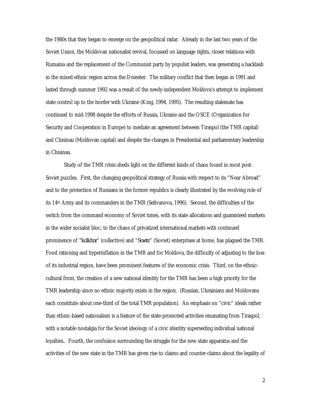the 1980s that they began to emerge on the geopolitical radar. Already in the last two years of the Soviet Union, the Moldovan nationalist revival, focussed on language rights, closer relations with Rumania and the replacement of the Communist party by populist leaders, was generating a backlash in the mixed ethnic region across the Dniester. The military conflict that then began in 1991 and lasted through summer 1992 was a result of the newly-independent Moldova's attempt to implement state control up to the border with Ukraine (King, 1994, 1995). The resulting stalemate has continued to mid-1998 despite the efforts of Russia, Ukraine and the OSCE (Organization for Security and Cooperation in Europe) to mediate an agreement between Tiraspol (the TMR capital) and Chisinau (Moldovan capital) and despite the changes in Presidential and parliamentary leadership in Chisinau.

Study of the TMR crisis sheds light on the different kinds of chaos found in most post-Soviet puzzles. First, the changing geopolitical strategy of Russia with respect to its "Near Abroad" and to the protection of Russians in the former republics is clearly illustrated by the evolving role of its 14th Army and its commanders in the TMR (Selivanova, 1996). Second, the difficulties of the switch from the command economy of Soviet times, with its state allocations and guaranteed markets in the wider socialist bloc, to the chaos of privatized international markets with continued prominence of *"kolkhoz*" (collective) and "*Sovetz*" (Soviet) enterprises at home, has plagued the TMR. Food rationing and hyperinflation in the TMR and for Moldova, the difficulty of adjusting to the loss of its industrial region, have been prominent features of the economic crisis. Third, on the ethniccultural front, the creation of a new national identity for the TMR has been a high priority for the TMR leadership since no ethnic majority exists in the region. (Russian, Ukrainians and Moldovans each constitute about one-third of the total TMR population). An emphasis on "civic" ideals rather than ethnic-based nationalism is a feature of the state-promoted activities emanating from Tiraspol, with a notable nostalgia for the Soviet ideology of a civic identity superseding individual national loyalties.. Fourth, the confusion surrounding the struggle for the new state apparatus and the activities of the new state in the TMR has given rise to claims and counter-claims about the legality of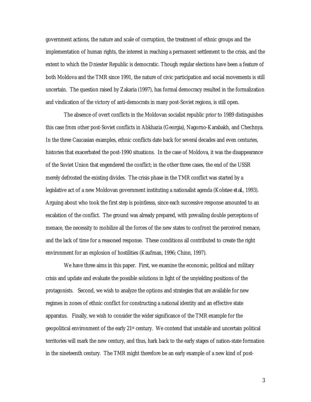government actions, the nature and scale of corruption, the treatment of ethnic groups and the implementation of human rights, the interest in reaching a permanent settlement to the crisis, and the extent to which the Dniester Republic is democratic. Though regular elections have been a feature of both Moldova and the TMR since 1991, the nature of civic participation and social movements is still uncertain. The question raised by Zakaria (1997), has formal democracy resulted in the formalization and vindication of the victory of anti-democrats in many post-Soviet regions, is still open.

The absence of overt conflicts in the Moldovan socialist republic prior to 1989 distinguishes this case from other post-Soviet conflicts in Abkhazia (Georgia), Nagorno-Karabakh, and Chechnya. In the three Caucasian examples, ethnic conflicts date back for several decades and even centuries, histories that exacerbated the post-1990 situations. In the case of Moldova, it was the disappearance of the Soviet Union that engendered the conflict; in the other three cases, the end of the USSR merely defrosted the existing divides. The crisis phase in the TMR conflict was started by a legislative act of a new Moldovan government instituting a nationalist agenda (Kolstø e *et al*., 1993). Arguing about who took the first step is pointlesss, since each successive response amounted to an escalation of the conflict. The ground was already prepared, with prevailing double perceptions of menace, the necessity to mobilize all the forces of the new states to confront the perceived menace, and the lack of time for a reasoned response. These conditions all contributed to create the right environment for an explosion of hostilities (Kaufman, 1996; Chinn, 1997).

We have three aims in this paper. First, we examine the economic, political and military crisis and update and evaluate the possible solutions in light of the unyielding positions of the protagonists. Second, we wish to analyze the options and strategies that are available for new regimes in zones of ethnic conflict for constructing a national identity and an effective state apparatus. Finally, we wish to consider the wider significance of the TMR example for the geopolitical environment of the early  $21st$  century. We contend that unstable and uncertain political territories will mark the new century, and thus, hark back to the early stages of nation-state formation in the nineteenth century. The TMR might therefore be an early example of a new kind of post-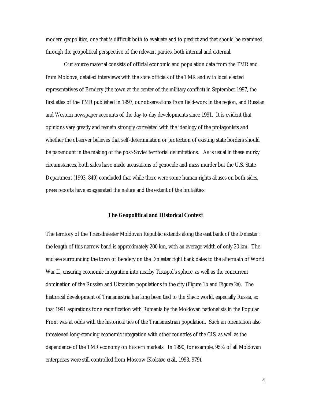modern geopolitics, one that is difficult both to evaluate and to predict and that should be examined through the geopolitical perspective of the relevant parties, both internal and external.

Our source material consists of official economic and population data from the TMR and from Moldova, detailed interviews with the state officials of the TMR and with local elected representatives of Bendery (the town at the center of the military conflict) in September 1997, the first atlas of the TMR published in 1997, our observations from field-work in the region, and Russian and Western newspaper accounts of the day-to-day developments since 1991. It is evident that opinions vary greatly and remain strongly correlated with the ideology of the protagonists and whether the observer believes that self-determination or protection of existing state borders should be paramount in the making of the post-Soviet territorial delimitations. As is usual in these murky circumstances, both sides have made accusations of genocide and mass murder but the U.S. State Department (1993, 849) concluded that while there were some human rights abuses on both sides, press reports have exaggerated the nature and the extent of the brutalities.

#### **The Geopolitical and Historical Context**

The territory of the Transdniester Moldovan Republic extends along the east bank of the Dniester : the length of this narrow band is approximately 200 km, with an average width of only 20 km. The enclave surrounding the town of Bendery on the Dniester right bank dates to the aftermath of World War II, ensuring economic integration into nearby Tiraspol's sphere, as well as the concurrent domination of the Russian and Ukrainian populations in the city (Figure 1b and Figure 2a). The historical development of Transniestria has long been tied to the Slavic world, especially Russia, so that 1991 aspirations for a reunification with Rumania by the Moldovan nationalists in the Popular Front was at odds with the historical ties of the Transniestrian population. Such an orientation also threatened long-standing economic integration with other countries of the CIS, as well as the dependence of the TMR economy on Eastern markets. In 1990, for example, 95% of all Moldovan enterprises were still controlled from Moscow (Kolstø e *et al*., 1993, 979).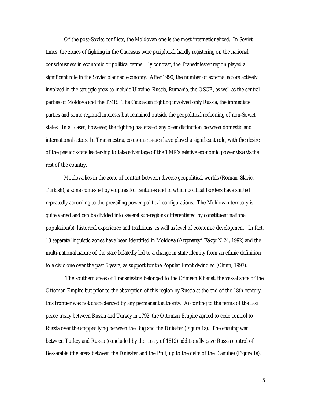Of the post-Soviet conflicts, the Moldovan one is the most internationalized. In Soviet times, the zones of fighting in the Caucasus were peripheral, hardly registering on the national consciousness in economic or political terms. By contrast, the Transdniester region played a significant role in the Soviet planned economy. After 1990, the number of external actors actively involved in the struggle grew to include Ukraine, Russia, Rumania, the OSCE, as well as the central parties of Moldova and the TMR. The Caucasian fighting involved only Russia, the immediate parties and some regional interests but remained outside the geopolitical reckoning of non-Soviet states. In all cases, however, the fighting has erased any clear distinction between domestic and international actors. In Transniestria, economic issues have played a significant role, with the desire of the pseudo-state leadership to take advantage of the TMR's relative economic power *vis a vis* the rest of the country.

Moldova lies in the zone of contact between diverse geopolitical worlds (Roman, Slavic, Turkish), a zone contested by empires for centuries and in which political borders have shifted repeatedly according to the prevailing power-political configurations. The Moldovan territory is quite varied and can be divided into several sub-regions differentiated by constituent national population(s), historical experience and traditions, as well as level of economic development. In fact, 18 separate linguistic zones have been identified in Moldova (*Argumenty i Fakty*, N 24, 1992) and the multi-national nature of the state belatedly led to a change in state identity from an ethnic definition to a civic one over the past 5 years, as support for the Popular Front dwindled (Chinn, 1997).

 The southern areas of Transniestria belonged to the Crimean Khanat, the vassal state of the Ottoman Empire but prior to the absorption of this region by Russia at the end of the 18th century, this frontier was not characterized by any permanent authority. According to the terms of the Iasi peace treaty between Russia and Turkey in 1792, the Ottoman Empire agreed to cede control to Russia over the steppes lying between the Bug and the Dniester (Figure 1a). The ensuing war between Turkey and Russia (concluded by the treaty of 1812) additionally gave Russia control of Bessarabia (the areas between the Dniester and the Prut, up to the delta of the Danube) (Figure 1a).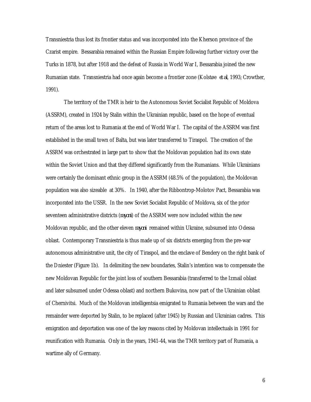Transniestria thus lost its frontier status and was incorporated into the Kherson province of the Czarist empire. Bessarabia remained within the Russian Empire following further victory over the Turks in 1878, but after 1918 and the defeat of Russia in World War I, Bessarabia joined the new Rumanian state. Transniestria had once again become a frontier zone (Kolstø e *et al*, 1993; Crowther, 1991).

The territory of the TMR is heir to the Autonomous Soviet Socialist Republic of Moldova (ASSRM), created in 1924 by Stalin within the Ukrainian republic, based on the hope of eventual return of the areas lost to Rumania at the end of World War I. The capital of the ASSRM was first established in the small town of Balta, but was later transferred to Tiraspol. The creation of the ASSRM was orchestrated in large part to show that the Moldovan population had its own state within the Soviet Union and that they differed significantly from the Rumanians. While Ukrainians were certainly the dominant ethnic group in the ASSRM (48.5% of the population), the Moldovan population was also sizeable at 30%. In 1940, after the Ribbontrop-Molotov Pact, Bessarabia was incorporated into the USSR. In the new Soviet Socialist Republic of Moldova, six of the prior seventeen administrative districts (*rayoni*) of the ASSRM were now included within the new Moldovan republic, and the other eleven *rayoni* remained within Ukraine, subsumed into Odessa oblast. Contemporary Transniestria is thus made up of six districts emerging from the pre-war autonomous administrative unit, the city of Tiraspol, and the enclave of Bendery on the right bank of the Dniester (Figure 1b). In delimiting the new boundaries, Stalin's intention was to compensate the new Moldovan Republic for the joint loss of southern Bessarabia (transferred to the Izmail oblast and later subsumed under Odessa oblast) and northern Bukovina, now part of the Ukrainian oblast of Chernivitsi. Much of the Moldovan intelligentsia emigrated to Rumania between the wars and the remainder were deported by Stalin, to be replaced (after 1945) by Russian and Ukrainian cadres. This emigration and deportation was one of the key reasons cited by Moldovan intellectuals in 1991 for reunification with Rumania. Only in the years, 1941-44, was the TMR territory part of Rumania, a wartime ally of Germany.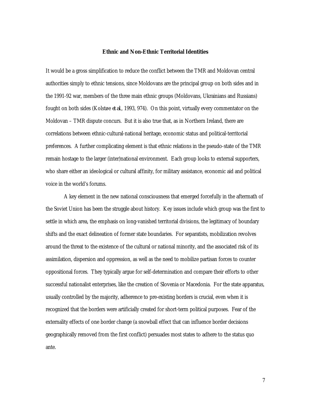#### **Ethnic and Non-Ethnic Territorial Identities**

It would be a gross simplification to reduce the conflict between the TMR and Moldovan central authorities simply to ethnic tensions, since Moldovans are the principal group on both sides and in the 1991-92 war, members of the three main ethnic groups (Moldovans, Ukrainians and Russians) fought on both sides (Kolstø e *et al*., 1993, 974). On this point, virtually every commentator on the Moldovan – TMR dispute concurs. But it is also true that, as in Northern Ireland, there are correlations between ethnic-cultural-national heritage, economic status and political-territorial preferences. A further complicating element is that ethnic relations in the pseudo-state of the TMR remain hostage to the larger (inter)national environment. Each group looks to external supporters, who share either an ideological or cultural affinity, for military assistance, economic aid and political voice in the world's forums.

A key element in the new national consciousness that emerged forcefully in the aftermath of the Soviet Union has been the struggle about history. Key issues include which group was the first to settle in which area, the emphasis on long-vanished territorial divisions, the legitimacy of boundary shifts and the exact delineation of former state boundaries. For separatists, mobilization revolves around the threat to the existence of the cultural or national minority, and the associated risk of its assimilation, dispersion and oppression, as well as the need to mobilize partisan forces to counter oppositional forces. They typically argue for self-determination and compare their efforts to other successful nationalist enterprises, like the creation of Slovenia or Macedonia. For the state apparatus, usually controlled by the majority, adherence to pre-existing borders is crucial, even when it is recognized that the borders were artificially created for short-term political purposes. Fear of the externality effects of one border change (a snowball effect that can influence border decisions geographically removed from the first conflict) persuades most states to adhere to the status quo ante.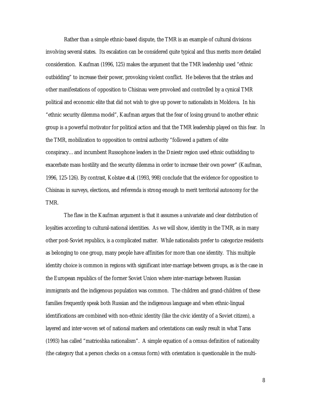Rather than a simple ethnic-based dispute, the TMR is an example of cultural divisions involving several states. Its escalation can be considered quite typical and thus merits more detailed consideration. Kaufman (1996, 125) makes the argument that the TMR leadership used "ethnic outbidding" to increase their power, provoking violent conflict. He believes that the strikes and other manifestations of opposition to Chisinau were provoked and controlled by a cynical TMR political and economic elite that did not wish to give up power to nationalists in Moldova. In his "ethnic security dilemma model", Kaufman argues that the fear of losing ground to another ethnic group is a powerful motivator for political action and that the TMR leadership played on this fear. In the TMR, mobilization to opposition to central authority "followed a pattern of elite conspiracy…and incumbent Russophone leaders in the Dniestr region used ethnic outbidding to exacerbate mass hostility and the security dilemma in order to increase their own power" (Kaufman, 1996, 125-126). By contrast, Kolstø e *et al*. (1993, 998) conclude that the evidence for opposition to Chisinau in surveys, elections, and referenda is strong enough to merit territorial autonomy for the TMR.

The flaw in the Kaufman argument is that it assumes a univariate and clear distribution of loyalties according to cultural-national identities. As we will show, identity in the TMR, as in many other post-Soviet republics, is a complicated matter. While nationalists prefer to categorize residents as belonging to one group, many people have affinities for more than one identity. This multiple identity choice is common in regions with significant inter-marriage between groups, as is the case in the European republics of the former Soviet Union where inter-marriage between Russian immigrants and the indigenous population was common. The children and grand-children of these families frequently speak both Russian and the indigenous language and when ethnic-lingual identifications are combined with non-ethnic identity (like the civic identity of a Soviet citizen), a layered and inter-woven set of national markers and orientations can easily result in what Taras (1993) has called "matrioshka nationalism". A simple equation of a census definition of nationality (the category that a person checks on a census form) with orientation is questionable in the multi-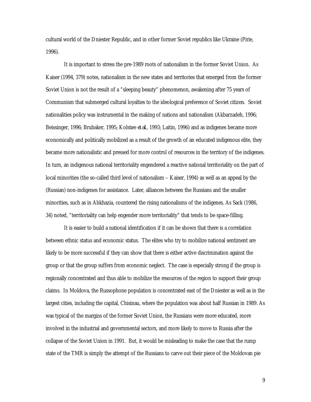cultural world of the Dniester Republic, and in other former Soviet republics like Ukraine (Pirie, 1996).

It is important to stress the pre-1989 roots of nationalism in the former Soviet Union. As Kaiser (1994, 379) notes, nationalism in the new states and territories that emerged from the former Soviet Union is not the result of a "sleeping beauty" phenomenon, awakening after 75 years of Communism that submerged cultural loyalties to the ideological preference of Soviet citizen. Soviet nationalities policy was instrumental in the making of nations and nationalism (Akbarzadeh, 1996; Beissinger, 1996; Brubaker, 1995; Kolstø e *et al*., 1993; Laitin, 1996) and as indigenes became more economically and politically mobilized as a result of the growth of an educated indigenous elite, they became more nationalistic and pressed for more control of resources in the territory of the indigenes. In turn, an indigenous national territoriality engendered a reactive national territoriality on the part of local minorities (the so-called third level of nationalism – Kaiser, 1994) as well as an appeal by the (Russian) non-indigenes for assistance. Later, alliances between the Russians and the smaller minorities, such as in Abkhazia, countered the rising nationalisms of the indigenes. As Sack (1986, 34) noted, "territoriality can help engender more territoriality" that tends to be space-filling.

It is easier to build a national identification if it can be shown that there is a correlation between ethnic status and economic status. The elites who try to mobilize national sentiment are likely to be more successful if they can show that there is either active discrimination against the group or that the group suffers from economic neglect. The case is especially strong if the group is regionally concentrated and thus able to mobilize the resources of the region to support their group claims. In Moldova, the Russophone population is concentrated east of the Dniester as well as in the largest cities, including the capital, Chisinau, where the population was about half Russian in 1989. As was typical of the margins of the former Soviet Union, the Russians were more educated, more involved in the industrial and governmental sectors, and more likely to move to Russia after the collapse of the Soviet Union in 1991. But, it would be misleading to make the case that the rump state of the TMR is simply the attempt of the Russians to carve out their piece of the Moldovan pie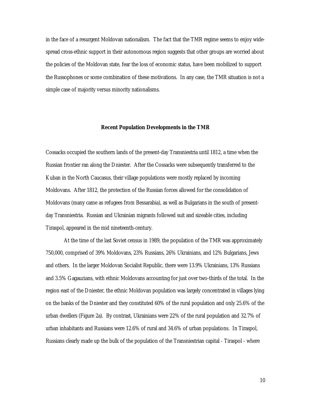in the face of a resurgent Moldovan nationalism. The fact that the TMR regime seems to enjoy widespread cross-ethnic support in their autonomous region suggests that other groups are worried about the policies of the Moldovan state, fear the loss of economic status, have been mobilized to support the Russophones or some combination of these motivations. In any case, the TMR situation is not a simple case of majority versus minority nationalisms.

#### **Recent Population Developments in the TMR**

Cossacks occupied the southern lands of the present-day Transniestria until 1812, a time when the Russian frontier ran along the Dniester. After the Cossacks were subsequently transferred to the Kuban in the North Caucasus, their village populations were mostly replaced by incoming Moldovans. After 1812, the protection of the Russian forces allowed for the consolidation of Moldovans (many came as refugees from Bessarabia), as well as Bulgarians in the south of presentday Transniestria. Russian and Ukrainian migrants followed suit and sizeable cities, including Tiraspol, appeared in the mid nineteenth-century.

At the time of the last Soviet census in 1989, the population of the TMR was approximately 750,000, comprised of 39% Moldovans, 23% Russians, 26% Ukrainians, and 12% Bulgarians, Jews and others. In the larger Moldovan Socialist Republic, there were 13.9% Ukrainians, 13% Russians and 3.5% Gagauzians, with ethnic Moldovans accounting for just over two-thirds of the total. In the region east of the Dniester, the ethnic Moldovan population was largely concentrated in villages lying on the banks of the Dniester and they constituted 60% of the rural population and only 25.6% of the urban dwellers (Figure 2a). By contrast, Ukrainians were 22% of the rural population and 32.7% of urban inhabitants and Russians were 12.6% of rural and 34.6% of urban populations. In Tiraspol, Russians clearly made up the bulk of the population of the Transniestrian capital - Tiraspol - where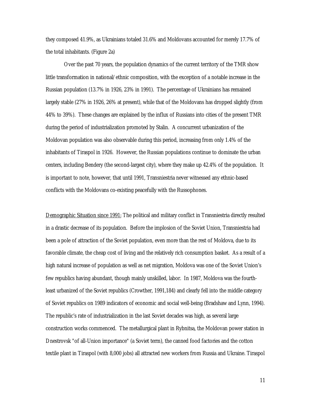they composed 41.9%, as Ukrainians totaled 31.6% and Moldovans accounted for merely 17.7% of the total inhabitants. (Figure 2a)

Over the past 70 years, the population dynamics of the current territory of the TMR show little transformation in national/ethnic composition, with the exception of a notable increase in the Russian population (13.7% in 1926, 23% in 1991). The percentage of Ukrainians has remained largely stable (27% in 1926, 26% at present), while that of the Moldovans has dropped slightly (from 44% to 39%). These changes are explained by the influx of Russians into cities of the present TMR during the period of industrialization promoted by Stalin. A concurrent urbanization of the Moldovan population was also observable during this period, increasing from only 1.4% of the inhabitants of Tiraspol in 1926. However, the Russian populations continue to dominate the urban centers, including Bendery (the second-largest city), where they make up 42.4% of the population. It is important to note, however, that until 1991, Transniestria never witnessed any ethnic-based conflicts with the Moldovans co-existing peacefully with the Russophones.

Demographic Situation since 1991: The political and military conflict in Transniestria directly resulted in a drastic decrease of its population. Before the implosion of the Soviet Union, Transniestria had been a pole of attraction of the Soviet population, even more than the rest of Moldova, due to its favorable climate, the cheap cost of living and the relatively rich consumption basket. As a result of a high natural increase of population as well as net migration, Moldova was one of the Soviet Union's few republics having abundant, though mainly unskilled, labor. In 1987, Moldova was the fourthleast urbanized of the Soviet republics (Crowther, 1991,184) and clearly fell into the middle category of Soviet republics on 1989 indicators of economic and social well-being (Bradshaw and Lynn, 1994). The republic's rate of industrialization in the last Soviet decades was high, as several large construction works commenced. The metallurgical plant in Rybnitsa, the Moldovan power station in Dnestrovsk "of all-Union importance" (a Soviet term), the canned food factories and the cotton textile plant in Tiraspol (with 8,000 jobs) all attracted new workers from Russia and Ukraine. Tiraspol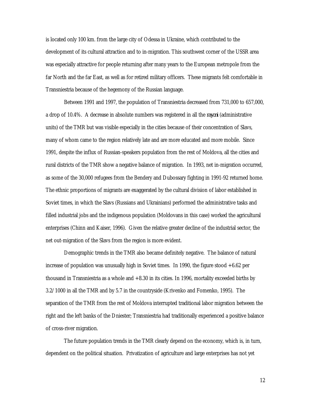is located only 100 km. from the large city of Odessa in Ukraine, which contributed to the development of its cultural attraction and to in-migration. This southwest corner of the USSR area was especially attractive for people returning after many years to the European metropole from the far North and the far East, as well as for retired military officers. These migrants felt comfortable in Transniestria because of the hegemony of the Russian language.

Between 1991 and 1997, the population of Transniestria decreased from 731,000 to 657,000, a drop of 10.4%. A decrease in absolute numbers was registered in all the *rayoni* (administrative units) of the TMR but was visible especially in the cities because of their concentration of Slavs, many of whom came to the region relatively late and are more educated and more mobile. Since 1991, despite the influx of Russian-speakers population from the rest of Moldova, all the cities and rural districts of the TMR show a negative balance of migration. In 1993, net in-migration occurred, as some of the 30,000 refugees from the Bendery and Dubossary fighting in 1991-92 returned home. The ethnic proportions of migrants are exaggerated by the cultural division of labor established in Soviet times, in which the Slavs (Russians and Ukrainians) performed the administrative tasks and filled industrial jobs and the indigenous population (Moldovans in this case) worked the agricultural enterprises (Chinn and Kaiser, 1996). Given the relative greater decline of the industrial sector, the net out-migration of the Slavs from the region is more evident.

Demographic trends in the TMR also became definitely negative. The balance of natural increase of population was unusually high in Soviet times. In 1990, the figure stood  $+6.62$  per thousand in Transniestria as a whole and +8.30 in its cities. In 1996, mortality exceeded births by 3.2/1000 in all the TMR and by 5.7 in the countryside (Krivenko and Fomenko, 1995). The separation of the TMR from the rest of Moldova interrupted traditional labor migration between the right and the left banks of the Dniester; Transniestria had traditionally experienced a positive balance of cross-river migration.

The future population trends in the TMR clearly depend on the economy, which is, in turn, dependent on the political situation. Privatization of agriculture and large enterprises has not yet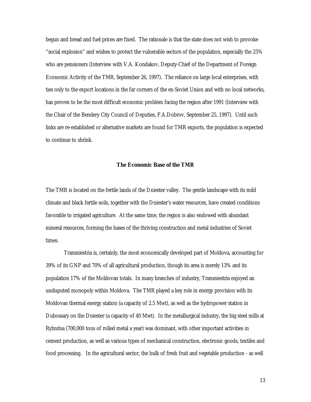begun and bread and fuel prices are fixed. The rationale is that the state does not wish to provoke "social explosion" and wishes to protect the vulnerable sectors of the population, especially the 25% who are pensioners (Interview with V.A. Kondakov, Deputy-Chief of the Department of Foreign Economic Activity of the TMR, September 26, 1997). The reliance on large local enterprises, with ties only to the export locations in the far corners of the ex-Soviet Union and with no local networks, has proven to be the most difficult economic problem facing the region after 1991 (Interview with the Chair of the Bendery City Council of Deputies, F.A.Dobrov, September 25, 1997). Until such links are re-established or alternative markets are found for TMR exports, the population is expected to continue to shrink.

#### **The Economic Base of the TMR**

The TMR is located on the fertile lands of the Dniester valley. The gentle landscape with its mild climate and black fertile soils, together with the Dniester's water resources, have created conditions favorable to irrigated agriculture. At the same time, the region is also endowed with abundant mineral resources, forming the bases of the thriving construction and metal industries of Soviet times.

Transniestria is, certainly, the most economically developed part of Moldova, accounting for 39% of its GNP and 70% of all agricultural production, though its area is merely 13% and its population 17% of the Moldovan totals. In many branches of industry, Transniestria enjoyed an undisputed monopoly within Moldova. The TMR played a key role in energy provision with its Moldovan thermal energy station (a capacity of 2.5 Mwt), as well as the hydropower station in Dubossary on the Dniester (a capacity of 40 Mwt). In the metallurgical industry, the big steel mills at Rybnitsa (700,000 tons of rolled metal a year) was dominant, with other important activities in cement production, as well as various types of mechanical construction, electronic goods, textiles and food processing. In the agricultural sector, the bulk of fresh fruit and vegetable production - as well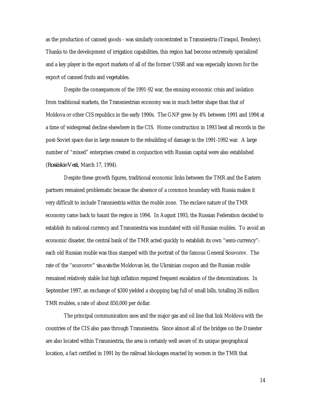as the production of canned goods - was similarly concentrated in Transniestria (Tiraspol, Bendery). Thanks to the development of irrigation capabilities, this region had become extremely specialized and a key player in the export markets of all of the former USSR and was especially known for the export of canned fruits and vegetables.

Despite the consequences of the 1991-92 war, the ensuing economic crisis and isolation from traditional markets, the Transniestrian economy was in much better shape than that of Moldova or other CIS republics in the early 1990s. The GNP grew by 4% between 1991 and 1994 at a time of widespread decline elsewhere in the CIS. Home construction in 1993 beat all records in the post-Soviet space due in large measure to the rebuilding of damage in the 1991-1992 war. A large number of "mixed" enterprises created in conjunction with Russian capital were also established (*Rossiiskie Vesti*, March 17, 1994).

Despite these growth figures, traditional economic links between the TMR and the Eastern partners remained problematic because the absence of a common boundary with Russia makes it very difficult to include Transniestria within the rouble zone. The exclave nature of the TMR economy came back to haunt the region in 1994. In August 1993, the Russian Federation decided to establish its national currency and Transniestria was inundated with old Russian roubles. To avoid an economic disaster, the central bank of the TMR acted quickly to establish its own "semi-currency": each old Russian rouble was thus stamped with the portrait of the famous General Souvorov. The rate of the "souvorov" *vis a vis* the Moldovan lei, the Ukrainian coupon and the Russian rouble remained relatively stable but high inflation required frequent escalation of the denominations. In September 1997, an exchange of \$300 yielded a shopping bag full of small bills, totalling 26 million TMR roubles, a rate of about 850,000 per dollar.

The principal communication axes and the major gas and oil line that link Moldova with the countries of the CIS also pass through Transniestria. Since almost all of the bridges on the Dniester are also located within Transniestria, the area is certainly well aware of its unique geographical location, a fact certified in 1991 by the railroad blockages enacted by women in the TMR that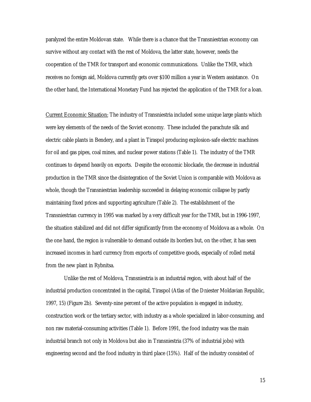paralyzed the entire Moldovan state. While there is a chance that the Transniestrian economy can survive without any contact with the rest of Moldova, the latter state, however, needs the cooperation of the TMR for transport and economic communications. Unlike the TMR, which receives no foreign aid, Moldova currently gets over \$100 million a year in Western assistance. On the other hand, the International Monetary Fund has rejected the application of the TMR for a loan.

Current Economic Situation: The industry of Transniestria included some unique large plants which were key elements of the needs of the Soviet economy. These included the parachute silk and electric cable plants in Bendery, and a plant in Tiraspol producing explosion-safe electric machines for oil and gas pipes, coal mines, and nuclear power stations (Table 1). The industry of the TMR continues to depend heavily on exports. Despite the economic blockade, the decrease in industrial production in the TMR since the disintegration of the Soviet Union is comparable with Moldova as whole, though the Transniestrian leadership succeeded in delaying economic collapse by partly maintaining fixed prices and supporting agriculture (Table 2). The establishment of the Transniestrian currency in 1995 was marked by a very difficult year for the TMR, but in 1996-1997, the situation stabilized and did not differ significantly from the economy of Moldova as a whole. On the one hand, the region is vulnerable to demand outside its borders but, on the other, it has seen increased incomes in hard currency from exports of competitive goods, especially of rolled metal from the new plant in Rybnitsa.

Unlike the rest of Moldova, Transniestria is an industrial region, with about half of the industrial production concentrated in the capital, Tiraspol (Atlas of the Dniester Moldavian Republic, 1997, 15) (Figure 2b). Seventy-nine percent of the active population is engaged in industry, construction work or the tertiary sector, with industry as a whole specialized in labor-consuming, and non raw material-consuming activities (Table 1). Before 1991, the food industry was the main industrial branch not only in Moldova but also in Transniestria (37% of industrial jobs) with engineering second and the food industry in third place (15%). Half of the industry consisted of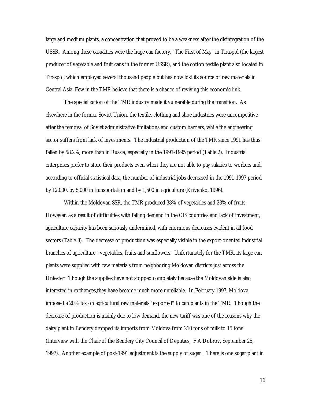large and medium plants, a concentration that proved to be a weakness after the disintegration of the USSR. Among these casualties were the huge can factory, "The First of May" in Tiraspol (the largest producer of vegetable and fruit cans in the former USSR), and the cotton textile plant also located in Tiraspol, which employed several thousand people but has now lost its source of raw materials in Central Asia. Few in the TMR believe that there is a chance of reviving this economic link.

The specialization of the TMR industry made it vulnerable during the transition. As elsewhere in the former Soviet Union, the textile, clothing and shoe industries were uncompetitive after the removal of Soviet administrative limitations and custom barriers, while the engineering sector suffers from lack of investments. The industrial production of the TMR since 1991 has thus fallen by 58.2%, more than in Russia, especially in the 1991-1995 period (Table 2). Industrial enterprises prefer to store their products even when they are not able to pay salaries to workers and, according to official statistical data, the number of industrial jobs decreased in the 1991-1997 period by 12,000, by 5,000 in transportation and by 1,500 in agriculture (Krivenko, 1996).

Within the Moldovan SSR, the TMR produced 38% of vegetables and 23% of fruits. However, as a result of difficulties with falling demand in the CIS countries and lack of investment, agriculture capacity has been seriously undermined, with enormous decreases evident in all food sectors (Table 3). The decrease of production was especially visible in the export-oriented industrial branches of agriculture - vegetables, fruits and sunflowers. Unfortunately for the TMR, its large can plants were supplied with raw materials from neighboring Moldovan districts just across the Dniester. Though the supplies have not stopped completely because the Moldovan side is also interested in exchanges,they have become much more unreliable. In February 1997, Moldova imposed a 20% tax on agricultural raw materials "exported" to can plants in the TMR. Though the decrease of production is mainly due to low demand, the new tariff was one of the reasons why the dairy plant in Bendery dropped its imports from Moldova from 210 tons of milk to 15 tons (Interview with the Chair of the Bendery City Council of Deputies, F.A.Dobrov, September 25, 1997). Another example of post-1991 adjustment is the supply of sugar . There is one sugar plant in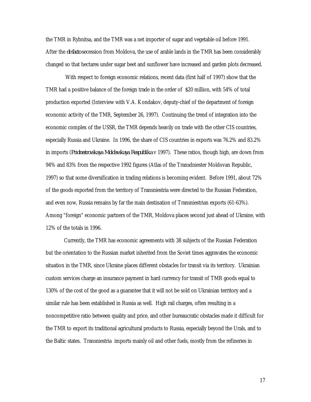the TMR in Rybnitsa, and the TMR was a net importer of sugar and vegetable oil before 1991. After the *de facto* secession from Moldova, the use of arable lands in the TMR has been considerably changed so that hectares under sugar beet and sunflower have increased and garden plots decreased.

With respect to foreign economic relations, recent data (first half of 1997) show that the TMR had a positive balance of the foreign trade in the order of \$20 million, with 54% of total production exported (Interview with V.A. Kondakov, deputy-chief of the department of foreign economic activity of the TMR, September 26, 1997). Continuing the trend of integration into the economic complex of the USSR, the TMR depends heavily on trade with the other CIS countries, especially Russia and Ukraine. In 1996, the share of CIS countries in exports was 76.2% and 83.2% in imports (*Pridnestrovskaya Moldavskaya Respublika* v 1997). These ratios, though high, are down from 94% and 83% from the respective 1992 figures (Atlas of the Transdniester Moldovan Republic, 1997) so that some diversification in trading relations is becoming evident. Before 1991, about 72% of the goods exported from the territory of Transniestria were directed to the Russian Federation, and even now, Russia remains by far the main destination of Transniestrian exports (61-63%). Among "foreign" economic partners of the TMR, Moldova places second just ahead of Ukraine, with 12% of the totals in 1996.

Currently, the TMR has economic agreements with 38 subjects of the Russian Federation but the orientation to the Russian market inherited from the Soviet times aggravates the economic situation in the TMR, since Ukraine places different obstacles for transit via its territory. Ukrainian custom services charge an insurance payment in hard currency for transit of TMR goods equal to 130% of the cost of the good as a guarantee that it will not be sold on Ukrainian territory and a similar rule has been established in Russia as well. High rail charges, often resulting in a noncompetitive ratio between quality and price, and other bureaucratic obstacles made it difficult for the TMR to export its traditional agricultural products to Russia, especially beyond the Urals, and to the Baltic states. Transniestria imports mainly oil and other fuels, mostly from the refineries in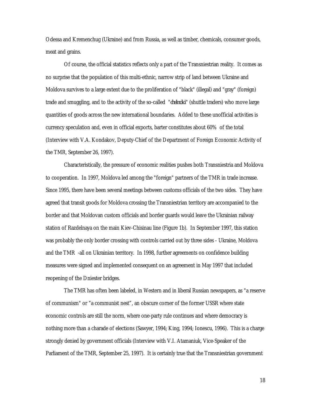Odessa and Kremenchug (Ukraine) and from Russia, as well as timber, chemicals, consumer goods, meat and grains.

Of course, the official statistics reflects only a part of the Transniestrian reality. It comes as no surprise that the population of this multi-ethnic, narrow strip of land between Ukraine and Moldova survives to a large extent due to the proliferation of "black" (illegal) and "gray" (foreign) trade and smuggling, and to the activity of the so-called "*chelnoki*" (shuttle traders) who move large quantities of goods across the new international boundaries. Added to these unofficial activities is currency speculation and, even in official exports, barter constitutes about 60% of the total (Interview with V.A. Kondakov, Deputy-Chief of the Department of Foreign Economic Activity of the TMR, September 26, 1997).

Characteristically, the pressure of economic realities pushes both Transniestria and Moldova to cooperation. In 1997, Moldova led among the "foreign" partners of the TMR in trade increase. Since 1995, there have been several meetings between customs officials of the two sides. They have agreed that transit goods for Moldova crossing the Transniestrian territory are accompanied to the border and that Moldovan custom officials and border guards would leave the Ukrainian railway station of Razdelnaya on the main Kiev-Chisinau line (Figure 1b). In September 1997, this station was probably the only border crossing with controls carried out by three sides - Ukraine, Moldova and the TMR -all on Ukrainian territory. In 1998, further agreements on confidence building measures were signed and implemented consequent on an agreement in May 1997 that included reopening of the Dniester bridges.

 The TMR has often been labeled, in Western and in liberal Russian newspapers, as "a reserve of communism" or "a communist nest", an obscure corner of the former USSR where state economic controls are still the norm, where one-party rule continues and where democracy is nothing more than a charade of elections (Sawyer, 1994; King, 1994; Ionescu, 1996). This is a charge strongly denied by government officials (Interview with V.I. Atamaniuk, Vice-Speaker of the Parliament of the TMR, September 25, 1997). It is certainly true that the Transniestrian government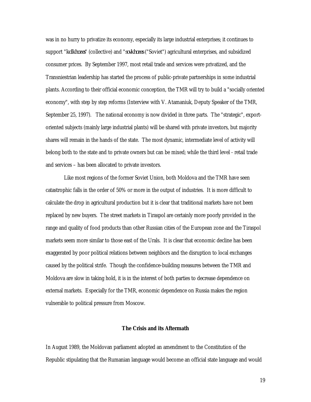was in no hurry to privatize its economy, especially its large industrial enterprises; it continues to support "*kolkhozes*" (collective) and "*sovkhozes* ("Soviet") agricultural enterprises, and subsidized consumer prices. By September 1997, most retail trade and services were privatized, and the Transniestrian leadership has started the process of public-private partnerships in some industrial plants. According to their official economic conception, the TMR will try to build a "socially oriented economy", with step by step reforms (Interview with V. Atamaniuk, Deputy Speaker of the TMR, September 25, 1997). The national economy is now divided in three parts. The "strategic", exportoriented subjects (mainly large industrial plants) will be shared with private investors, but majority shares will remain in the hands of the state. The most dynamic, intermediate level of activity will belong both to the state and to private owners but can be mixed; while the third level - retail trade and services – has been allocated to private investors.

Like most regions of the former Soviet Union, both Moldova and the TMR have seen catastrophic falls in the order of 50% or more in the output of industries. It is more difficult to calculate the drop in agricultural production but it is clear that traditional markets have not been replaced by new buyers. The street markets in Tiraspol are certainly more poorly provided in the range and quality of food products than other Russian cities of the European zone and the Tiraspol markets seem more similar to those east of the Urals. It is clear that economic decline has been exaggerated by poor political relations between neighbors and the disruption to local exchanges caused by the political strife. Though the confidence-building measures between the TMR and Moldova are slow in taking hold, it is in the interest of both parties to decrease dependence on external markets. Especially for the TMR, economic dependence on Russia makes the region vulnerable to political pressure from Moscow.

#### **The Crisis and its Aftermath**

In August 1989, the Moldovan parliament adopted an amendment to the Constitution of the Republic stipulating that the Rumanian language would become an official state language and would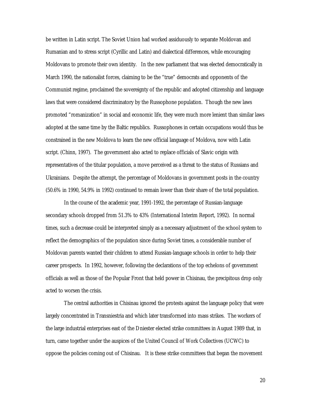be written in Latin script. The Soviet Union had worked assiduously to separate Moldovan and Rumanian and to stress script (Cyrillic and Latin) and dialectical differences, while encouraging Moldovans to promote their own identity. In the new parliament that was elected democratically in March 1990, the nationalist forces, claiming to be the "true" democrats and opponents of the Communist regime, proclaimed the sovereignty of the republic and adopted citizenship and language laws that were considered discriminatory by the Russophone population. Though the new laws promoted "romanization" in social and economic life, they were much more lenient than similar laws adopted at the same time by the Baltic republics. Russophones in certain occupations would thus be constrained in the new Moldova to learn the new official language of Moldova, now with Latin script. (Chinn, 1997). The government also acted to replace officials of Slavic origin with representatives of the titular population, a move perceived as a threat to the status of Russians and Ukrainians. Despite the attempt, the percentage of Moldovans in government posts in the country (50.6% in 1990, 54.9% in 1992) continued to remain lower than their share of the total population.

In the course of the academic year, 1991-1992, the percentage of Russian-language secondary schools dropped from 51.3% to 43% (International Interim Report, 1992). In normal times, such a decrease could be interpreted simply as a necessary adjustment of the school system to reflect the demographics of the population since during Soviet times, a considerable number of Moldovan parents wanted their children to attend Russian-language schools in order to help their career prospects. In 1992, however, following the declarations of the top echelons of government officials as well as those of the Popular Front that held power in Chisinau, the precipitous drop only acted to worsen the crisis.

The central authorities in Chisinau ignored the protests against the language policy that were largely concentrated in Transniestria and which later transformed into mass strikes. The workers of the large industrial enterprises east of the Dniester elected strike committees in August 1989 that, in turn, came together under the auspices of the United Council of Work Collectives (UCWC) to oppose the policies coming out of Chisinau. It is these strike committees that began the movement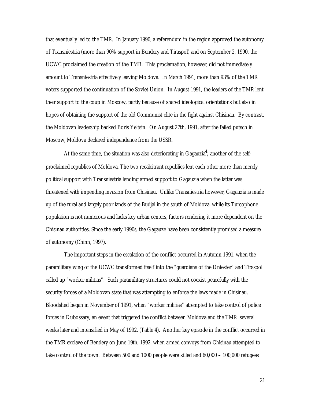that eventually led to the TMR. In January 1990, a referendum in the region approved the autonomy of Transniestria (more than 90% support in Bendery and Tiraspol) and on September 2, 1990, the UCWC proclaimed the creation of the TMR. This proclamation, however, did not immediately amount to Transniestria effectively leaving Moldova. In March 1991, more than 93% of the TMR voters supported the continuation of the Soviet Union. In August 1991, the leaders of the TMR lent their support to the coup in Moscow, partly because of shared ideological orientations but also in hopes of obtaining the support of the old Communist elite in the fight against Chisinau. By contrast, the Moldovan leadership backed Boris Yeltsin. On August 27th, 1991, after the failed putsch in Moscow, Moldova declared independence from the USSR.

At the same time, the situation was also deteriorating in Gagauzia**<sup>4</sup> ,** another of the selfproclaimed republics of Moldova. The two recalcitrant republics lent each other more than merely political support with Transniestria lending armed support to Gagauzia when the latter was threatened with impending invasion from Chisinau. Unlike Transniestria however, Gagauzia is made up of the rural and largely poor lands of the Budjal in the south of Moldova, while its Turcophone population is not numerous and lacks key urban centers, factors rendering it more dependent on the Chisinau authorities. Since the early 1990s, the Gagauze have been consistently promised a measure of autonomy (Chinn, 1997).

The important steps in the escalation of the conflict occurred in Autumn 1991, when the paramilitary wing of the UCWC transformed itself into the "guardians of the Dniester" and Tiraspol called up "worker militias". Such paramilitary structures could not coexist peacefully with the security forces of a Moldovan state that was attempting to enforce the laws made in Chisinau. Bloodshed began in November of 1991, when "worker militias" attempted to take control of police forces in Dubossary, an event that triggered the conflict between Moldova and the TMR several weeks later and intensified in May of 1992. (Table 4). Another key episode in the conflict occurred in the TMR exclave of Bendery on June 19th, 1992, when armed convoys from Chisinau attempted to take control of the town. Between 500 and 1000 people were killed and 60,000 – 100,000 refugees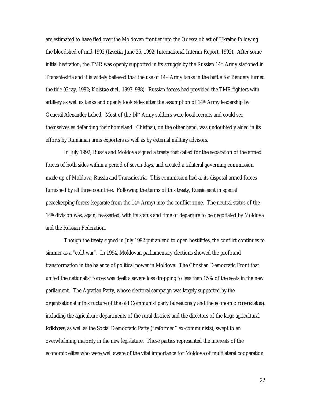are estimated to have fled over the Moldovan frontier into the Odessa oblast of Ukraine following the bloodshed of mid-1992 (*Izvestia*, June 25, 1992; International Interim Report, 1992). After some initial hesitation, the TMR was openly supported in its struggle by the Russian  $14<sup>th</sup>$  Army stationed in Transniestria and it is widely believed that the use of 14th Army tanks in the battle for Bendery turned the tide (Gray, 1992; Kolstø e *et al*., 1993, 988). Russian forces had provided the TMR fighters with artillery as well as tanks and openly took sides after the assumption of 14th Army leadership by General Alexander Lebed. Most of the 14th Army soldiers were local recruits and could see themselves as defending their homeland. Chisinau, on the other hand, was undoubtedly aided in its efforts by Rumanian arms exporters as well as by external military advisors.

In July 1992, Russia and Moldova signed a treaty that called for the separation of the armed forces of both sides within a period of seven days, and created a trilateral governing commission made up of Moldova, Russia and Transniestria. This commission had at its disposal armed forces furnished by all three countries. Following the terms of this treaty, Russia sent in special peacekeeping forces (separate from the 14th Army) into the conflict zone. The neutral status of the 14th division was, again, reasserted, with its status and time of departure to be negotiated by Moldova and the Russian Federation.

Though the treaty signed in July 1992 put an end to open hostilities, the conflict continues to simmer as a "cold war". In 1994, Moldovan parliamentary elections showed the profound transformation in the balance of political power in Moldova. The Christian Democratic Front that united the nationalist forces was dealt a severe loss dropping to less than 15% of the seats in the new parliament. The Agrarian Party, whose electoral campaign was largely supported by the organizational infrastructure of the old Communist party bureaucracy and the economic *nomenklatura,* including the agriculture departments of the rural districts and the directors of the large agricultural *kolkhozes,* as well as the Social Democratic Party ("reformed" ex-communists), swept to an overwhelming majority in the new legislature. These parties represented the interests of the economic elites who were well aware of the vital importance for Moldova of multilateral cooperation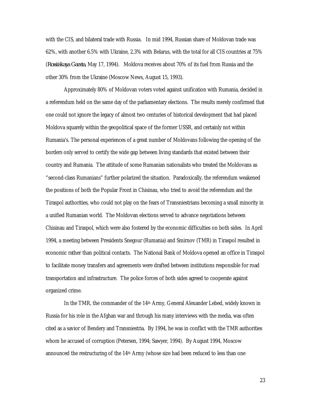with the CIS, and bilateral trade with Russia. In mid 1994, Russian share of Moldovan trade was 62%, with another 6.5% with Ukraine, 2.3% with Belarus, with the total for all CIS countries at 75% (*Rossiiskaya Gazeta*, May 17, 1994). Moldova receives about 70% of its fuel from Russia and the other 30% from the Ukraine (Moscow News, August 15, 1993).

Approximately 80% of Moldovan voters voted against unification with Rumania, decided in a referendum held on the same day of the parliamentary elections. The results merely confirmed that one could not ignore the legacy of almost two centuries of historical development that had placed Moldova squarely within the geopolitical space of the former USSR, and certainly not within Rumania's. The personal experiences of a great number of Moldovans following the opening of the borders only served to certify the wide gap between living standards that existed between their country and Rumania. The attitude of some Rumanian nationalists who treated the Moldovans as "second-class Rumanians" further polarized the situation. Paradoxically, the referendum weakened the positions of both the Popular Front in Chisinau, who tried to avoid the referendum and the Tiraspol authorities, who could not play on the fears of Transniestrians becoming a small minority in a unified Rumanian world. The Moldovan elections served to advance negotiations between Chisinau and Tiraspol, which were also fostered by the economic difficulties on both sides. In April 1994, a meeting between Presidents Snegour (Rumania) and Smirnov (TMR) in Tiraspol resulted in economic rather than political contacts. The National Bank of Moldova opened an office in Tiraspol to facilitate money transfers and agreements were drafted between institutions responsible for road transportation and infrastructure. The police forces of both sides agreed to cooperate against organized crime.

In the TMR, the commander of the 14th Army, General Alexander Lebed, widely known in Russia for his role in the Afghan war and through his many interviews with the media, was often cited as a savior of Bendery and Transniestria. By 1994, he was in conflict with the TMR authorities whom he accused of corruption (Petersen, 1994; Sawyer, 1994). By August 1994, Moscow announced the restructuring of the  $14<sup>th</sup>$  Army (whose size had been reduced to less than one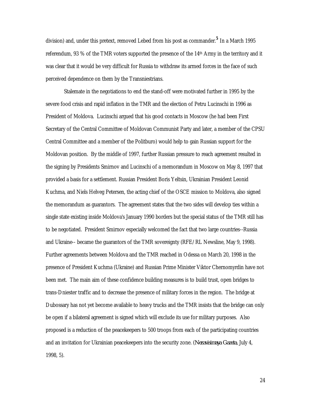division) and, under this pretext, removed Lebed from his post as commander.**<sup>5</sup>** In a March 1995 referendum, 93 % of the TMR voters supported the presence of the 14th Army in the territory and it was clear that it would be very difficult for Russia to withdraw its armed forces in the face of such perceived dependence on them by the Transniestrians.

Stalemate in the negotiations to end the stand-off were motivated further in 1995 by the severe food crisis and rapid inflation in the TMR and the election of Petru Lucinschi in 1996 as President of Moldova. Lucinschi argued that his good contacts in Moscow (he had been First Secretary of the Central Committee of Moldovan Communist Party and later, a member of the CPSU Central Committee and a member of the Politburo) would help to gain Russian support for the Moldovan position. By the middle of 1997, further Russian pressure to reach agreement resulted in the signing by Presidents Smirnov and Lucinschi of a memorandum in Moscow on May 8, 1997 that provided a basis for a settlement. Russian President Boris Yeltsin, Ukrainian President Leonid Kuchma, and Niels Helveg Petersen, the acting chief of the OSCE mission to Moldova, also signed the memorandum as guarantors. The agreement states that the two sides will develop ties within a single state existing inside Moldova's January 1990 borders but the special status of the TMR still has to be negotiated. President Smirnov especially welcomed the fact that two large countries--Russia and Ukraine-- became the guarantors of the TMR sovereignty (RFE/RL Newsline, May 9, 1998). Further agreements between Moldova and the TMR reached in Odessa on March 20, 1998 in the presence of President Kuchma (Ukraine) and Russian Prime Minister Viktor Chernomyrdin have not been met. The main aim of these confidence building measures is to build trust, open bridges to trans-Dniester traffic and to decrease the presence of military forces in the region. The bridge at Dubossary has not yet become available to heavy trucks and the TMR insists that the bridge can only be open if a bilateral agreement is signed which will exclude its use for military purposes. Also proposed is a reduction of the peacekeepers to 500 troops from each of the participating countries and an invitation for Ukrainian peacekeepers into the security zone. (*Nezavisimaya Gazeta*, July 4, 1998, 5).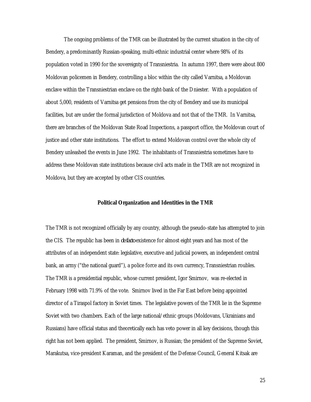The ongoing problems of the TMR can be illustrated by the current situation in the city of Bendery, a predominantly Russian-speaking, multi-ethnic industrial center where 98% of its population voted in 1990 for the sovereignty of Transniestria. In autumn 1997, there were about 800 Moldovan policemen in Bendery, controlling a bloc within the city called Varnitsa, a Moldovan enclave within the Transniestrian enclave on the right-bank of the Dniester. With a population of about 5,000, residents of Varnitsa get pensions from the city of Bendery and use its municipal facilities, but are under the formal jurisdiction of Moldova and not that of the TMR. In Varnitsa, there are branches of the Moldovan State Road Inspections, a passport office, the Moldovan court of justice and other state institutions. The effort to extend Moldovan control over the whole city of Bendery unleashed the events in June 1992. The inhabitants of Transniestria sometimes have to address these Moldovan state institutions because civil acts made in the TMR are not recognized in Moldova, but they are accepted by other CIS countries.

#### **Political Organization and Identities in the TMR**

The TMR is not recognized officially by any country, although the pseudo-state has attempted to join the CIS. The republic has been in *de facto* existence for almost eight years and has most of the attributes of an independent state: legislative, executive and judicial powers, an independent central bank, an army ("the national guard"), a police force and its own currency, Transniestrian roubles. The TMR is a presidential republic, whose current president, Igor Smirnov, was re-elected in February 1998 with 71.9% of the vote. Smirnov lived in the Far East before being appointed director of a Tiraspol factory in Soviet times. The legislative powers of the TMR lie in the Supreme Soviet with two chambers. Each of the large national/ethnic groups (Moldovans, Ukrainians and Russians) have official status and theoretically each has veto power in all key decisions, though this right has not been applied. The president, Smirnov, is Russian; the president of the Supreme Soviet, Marakutsa, vice-president Karaman, and the president of the Defense Council, General Kitsak are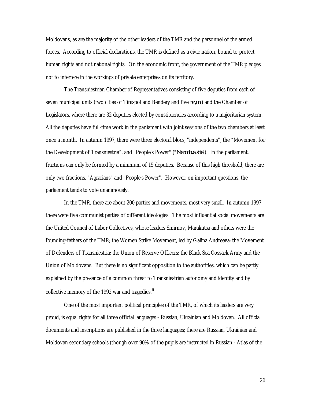Moldovans, as are the majority of the other leaders of the TMR and the personnel of the armed forces. According to official declarations, the TMR is defined as a civic nation, bound to protect human rights and not national rights. On the economic front, the government of the TMR pledges not to interfere in the workings of private enterprises on its territory.

The Transniestrian Chamber of Representatives consisting of five deputies from each of seven municipal units (two cities of Tiraspol and Bendery and five *rayoni*) and the Chamber of Legislators, where there are 32 deputies elected by constituencies according to a majoritarian system. All the deputies have full-time work in the parliament with joint sessions of the two chambers at least once a month. In autumn 1997, there were three electoral blocs, "independents", the "Movement for the Development of Transniestria", and "People's Power" ("*Narodovalstie*"). In the parliament, fractions can only be formed by a minimum of 15 deputies. Because of this high threshold, there are only two fractions, "Agrarians" and "People's Power". However, on important questions, the parliament tends to vote unanimously.

In the TMR, there are about 200 parties and movements, most very small. In autumn 1997, there were five communist parties of different ideologies. The most influential social movements are the United Council of Labor Collectives, whose leaders Smirnov, Marakutsa and others were the founding-fathers of the TMR; the Women Strike Movement, led by Galina Andreeva; the Movement of Defenders of Transniestria; the Union of Reserve Officers; the Black Sea Cossack Army and the Union of Moldovans. But there is no significant opposition to the authorities, which can be partly explained by the presence of a common threat to Transniestrian autonomy and identity and by collective memory of the 1992 war and tragedies.**<sup>6</sup>**

One of the most important political principles of the TMR, of which its leaders are very proud, is equal rights for all three official languages - Russian, Ukrainian and Moldovan. All official documents and inscriptions are published in the three languages; there are Russian, Ukrainian and Moldovan secondary schools (though over 90% of the pupils are instructed in Russian - Atlas of the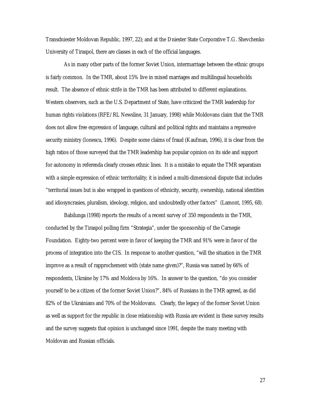Transdniester Moldovan Republic, 1997, 22); and at the Dniester State Corporative T.G. Shevchenko University of Tiraspol, there are classes in each of the official languages.

As in many other parts of the former Soviet Union, intermarriage between the ethnic groups is fairly common. In the TMR, about 15% live in mixed marriages and multilingual households result. The absence of ethnic strife in the TMR has been attributed to different explanations. Western observers, such as the U.S. Department of State, have criticized the TMR leadership for human rights violations (RFE/RL Newsline, 31 January, 1998) while Moldovans claim that the TMR does not allow free expression of language, cultural and political rights and maintains a repressive security ministry (Ionescu, 1996). Despite some claims of fraud (Kaufman, 1996), it is clear from the high ratios of those surveyed that the TMR leadership has popular opinion on its side and support for autonomy in referenda clearly crosses ethnic lines. It is a mistake to equate the TMR separatism with a simple expression of ethnic territoriality; it is indeed a multi-dimensional dispute that includes "territorial issues but is also wrapped in questions of ethnicity, security, ownership, national identities and idiosyncrasies, pluralism, ideology, religion, and undoubtedly other factors" (Lamont, 1995, 68).

Babilunga (1998) reports the results of a recent survey of 350 respondents in the TMR, conducted by the Tiraspol polling firm "Strategia", under the sponsorship of the Carnegie Foundation. Eighty-two percent were in favor of keeping the TMR and 91% were in favor of the process of integration into the CIS. In response to another question, "will the situation in the TMR improve as a result of rapprochement with (state name given)?", Russia was named by 66% of respondents, Ukraine by 17% and Moldova by 16%. In answer to the question, "do you consider yourself to be a citizen of the former Soviet Union?", 84% of Russians in the TMR agreed, as did 82% of the Ukrainians and 70% of the Moldovans. Clearly, the legacy of the former Soviet Union as well as support for the republic in close relationship with Russia are evident in these survey results and the survey suggests that opinion is unchanged since 1991, despite the many meeting with Moldovan and Russian officials.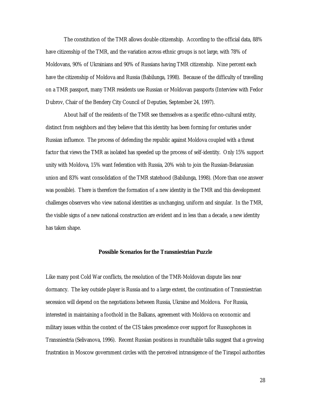The constitution of the TMR allows double citizenship. According to the official data, 88% have citizenship of the TMR, and the variation across ethnic groups is not large, with 78% of Moldovans, 90% of Ukrainians and 90% of Russians having TMR citizenship. Nine percent each have the citizenship of Moldova and Russia (Babilunga, 1998). Because of the difficulty of travelling on a TMR passport, many TMR residents use Russian or Moldovan passports (Interview with Fedor Dubrov, Chair of the Bendery City Council of Deputies, September 24, 1997).

About half of the residents of the TMR see themselves as a specific ethno-cultural entity, distinct from neighbors and they believe that this identity has been forming for centuries under Russian influence. The process of defending the republic against Moldova coupled with a threat factor that views the TMR as isolated has speeded up the process of self-identity. Only 15% support unity with Moldova, 15% want federation with Russia, 20% wish to join the Russian-Belarussian union and 83% want consolidation of the TMR statehood (Babilunga, 1998). (More than one answer was possible). There is therefore the formation of a new identity in the TMR and this development challenges observers who view national identities as unchanging, uniform and singular. In the TMR, the visible signs of a new national construction are evident and in less than a decade, a new identity has taken shape.

### **Possible Scenarios for the Transniestrian Puzzle**

Like many post Cold War conflicts, the resolution of the TMR-Moldovan dispute lies near dormancy. The key outside player is Russia and to a large extent, the continuation of Transniestrian secession will depend on the negotiations between Russia, Ukraine and Moldova. For Russia, interested in maintaining a foothold in the Balkans, agreement with Moldova on economic and military issues within the context of the CIS takes precedence over support for Russophones in Transniestria (Selivanova, 1996). Recent Russian positions in roundtable talks suggest that a growing frustration in Moscow government circles with the perceived intransigence of the Tiraspol authorities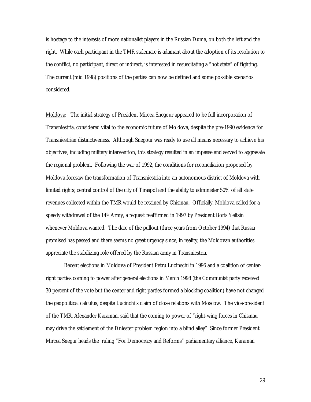is hostage to the interests of more nationalist players in the Russian Duma, on both the left and the right. While each participant in the TMR stalemate is adamant about the adoption of its resolution to the conflict, no participant, direct or indirect, is interested in resuscitating a "hot state" of fighting. The current (mid 1998) positions of the parties can now be defined and some possible scenarios considered.

Moldova: The initial strategy of President Mircea Snegour appeared to be full incorporation of Transniestria, considered vital to the economic future of Moldova, despite the pre-1990 evidence for Transniestrian distinctiveness. Although Snegour was ready to use all means necessary to achieve his objectives, including military intervention, this strategy resulted in an impasse and served to aggravate the regional problem. Following the war of 1992, the conditions for reconciliation proposed by Moldova foresaw the transformation of Transniestria into an autonomous district of Moldova with limited rights; central control of the city of Tiraspol and the ability to administer 50% of all state revenues collected within the TMR would be retained by Chisinau. Officially, Moldova called for a speedy withdrawal of the 14th Army, a request reaffirmed in 1997 by President Boris Yeltsin whenever Moldova wanted. The date of the pullout (three years from October 1994) that Russia promised has passed and there seems no great urgency since, in reality, the Moldovan authorities appreciate the stabilizing role offered by the Russian army in Transniestria.

Recent elections in Moldova of President Petru Lucinschi in 1996 and a coalition of centerright parties coming to power after general elections in March 1998 (the Communist party received 30 percent of the vote but the center and right parties formed a blocking coalition) have not changed the geopolitical calculus, despite Lucinchi's claim of close relations with Moscow. The vice-president of the TMR, Alexander Karaman, said that the coming to power of "right-wing forces in Chisinau may drive the settlement of the Dniester problem region into a blind alley". Since former President Mircea Snegur heads the ruling "For Democracy and Reforms" parliamentary alliance, Karaman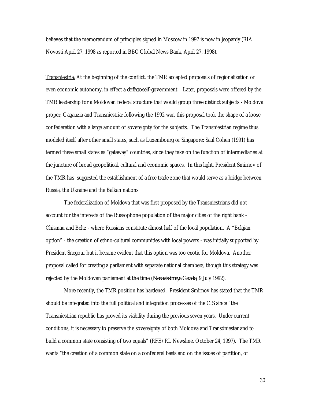believes that the memorandum of principles signed in Moscow in 1997 is now in jeopardy (RIA Novosti April 27, 1998 as reported in BBC Global News Bank, April 27, 1998).

Transniestria: At the beginning of the conflict, the TMR accepted proposals of regionalization or even economic autonomy, in effect a *de facto* self-government. Later, proposals were offered by the TMR leadership for a Moldovan federal structure that would group three distinct subjects - Moldova proper, Gagauzia and Transniestria; following the 1992 war, this proposal took the shape of a loose confederation with a large amount of sovereignty for the subjects. The Transniestrian regime thus modeled itself after other small states, such as Luxembourg or Singapore: Saul Cohen (1991) has termed these small states as "gateway" countries, since they take on the function of intermediaries at the juncture of broad geopolitical, cultural and economic spaces. In this light, President Smirnov of the TMR has suggested the establishment of a free trade zone that would serve as a bridge between Russia, the Ukraine and the Balkan nations

The federalization of Moldova that was first proposed by the Transniestrians did not account for the interests of the Russophone population of the major cities of the right bank - Chisinau and Beltz - where Russians constitute almost half of the local population. A "Belgian option" - the creation of ethno-cultural communities with local powers - was initially supported by President Snegour but it became evident that this option was too exotic for Moldova. Another proposal called for creating a parliament with separate national chambers, though this strategy was rejected by the Moldovan parliament at the time (*Nezavissimaya Gazeta*, 9 July 1992).

More recently, the TMR position has hardened. President Smirnov has stated that the TMR should be integrated into the full political and integration processes of the CIS since "the Transniestrian republic has proved its viability during the previous seven years. Under current conditions, it is necessary to preserve the sovereignty of both Moldova and Transdniester and to build a common state consisting of two equals" (RFE/RL Newsline, October 24, 1997). The TMR wants "the creation of a common state on a confederal basis and on the issues of partition, of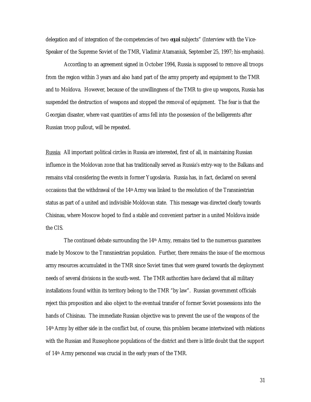delegation and of integration of the competencies of two *equal* subjects" (Interview with the Vice-Speaker of the Supreme Soviet of the TMR, Vladimir Atamaniuk, September 25, 1997; his emphasis).

According to an agreement signed in October 1994, Russia is supposed to remove all troops from the region within 3 years and also hand part of the army property and equipment to the TMR and to Moldova. However, because of the unwillingness of the TMR to give up weapons, Russia has suspended the destruction of weapons and stopped the removal of equipment. The fear is that the Georgian disaster, where vast quantities of arms fell into the possession of the belligerents after Russian troop pullout, will be repeated.

Russia: All important political circles in Russia are interested, first of all, in maintaining Russian influence in the Moldovan zone that has traditionally served as Russia's entry-way to the Balkans and remains vital considering the events in former Yugoslavia. Russia has, in fact, declared on several occasions that the withdrawal of the 14th Army was linked to the resolution of the Transniestrian status as part of a united and indivisible Moldovan state. This message was directed clearly towards Chisinau, where Moscow hoped to find a stable and convenient partner in a united Moldova inside the CIS.

The continued debate surrounding the 14<sup>th</sup> Army, remains tied to the numerous guarantees made by Moscow to the Transniestrian population. Further, there remains the issue of the enormous army resources accumulated in the TMR since Soviet times that were geared towards the deployment needs of several divisions in the south-west. The TMR authorities have declared that all military installations found within its territory belong to the TMR "by law". Russian government officials reject this proposition and also object to the eventual transfer of former Soviet possessions into the hands of Chisinau. The immediate Russian objective was to prevent the use of the weapons of the 14th Army by either side in the conflict but, of course, this problem became intertwined with relations with the Russian and Russophone populations of the district and there is little doubt that the support of 14th Army personnel was crucial in the early years of the TMR.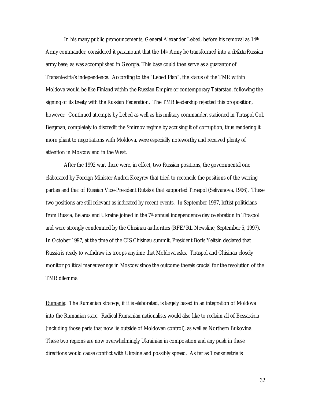In his many public pronouncements, General Alexander Lebed, before his removal as  $14<sup>th</sup>$ Army commander, considered it paramount that the 14th Army be transformed into a *de facto* Russian army base, as was accomplished in Georgia. This base could then serve as a guarantor of Transniestria's independence. According to the "Lebed Plan", the status of the TMR within Moldova would be like Finland within the Russian Empire or contemporary Tatarstan, following the signing of its treaty with the Russian Federation. The TMR leadership rejected this proposition, however. Continued attempts by Lebed as well as his military commander, stationed in Tiraspol Col. Bergman, completely to discredit the Smirnov regime by accusing it of corruption, thus rendering it more pliant to negotiations with Moldova, were especially noteworthy and received plenty of attention in Moscow and in the West.

After the 1992 war, there were, in effect, two Russian positions, the governmental one elaborated by Foreign Minister Andrei Kozyrev that tried to reconcile the positions of the warring parties and that of Russian Vice-President Rutskoi that supported Tiraspol (Selivanova, 1996). These two positions are still relevant as indicated by recent events. In September 1997, leftist politicians from Russia, Belarus and Ukraine joined in the 7th annual independence day celebration in Tiraspol and were strongly condemned by the Chisinau authorities (RFE/RL Newsline, September 5, 1997). In October 1997, at the time of the CIS Chisinau summit, President Boris Yeltsin declared that Russia is ready to withdraw its troops anytime that Moldova asks. Tiraspol and Chisinau closely monitor political maneuverings in Moscow since the outcome thereis crucial for the resolution of the TMR dilemma.

Rumania: The Rumanian strategy, if it is elaborated, is largely based in an integration of Moldova into the Rumanian state. Radical Rumanian nationalists would also like to reclaim all of Bessarabia (including those parts that now lie outside of Moldovan control), as well as Northern Bukovina. These two regions are now overwhelmingly Ukrainian in composition and any push in these directions would cause conflict with Ukraine and possibly spread. As far as Transniestria is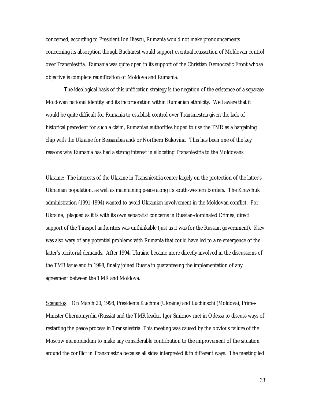concerned, according to President Ion Iliescu, Rumania would not make pronouncements concerning its absorption though Bucharest would support eventual reassertion of Moldovan control over Transniestria. Rumania was quite open in its support of the Christian Democratic Front whose objective is complete reunification of Moldova and Rumania.

The ideological basis of this unification strategy is the negation of the existence of a separate Moldovan national identity and its incorporation within Rumanian ethnicity. Well aware that it would be quite difficult for Rumania to establish control over Transniestria given the lack of historical precedent for such a claim, Rumanian authorities hoped to use the TMR as a bargaining chip with the Ukraine for Bessarabia and/or Northern Bukovina. This has been one of the key reasons why Rumania has had a strong interest in allocating Transniestria to the Moldovans.

Ukraine: The interests of the Ukraine in Transniestria center largely on the protection of the latter's Ukrainian population, as well as maintaining peace along its south-western borders. The Kravchuk administration (1991-1994) wanted to avoid Ukrainian involvement in the Moldovan conflict. For Ukraine, plagued as it is with its own separatist concerns in Russian-dominated Crimea, direct support of the Tiraspol authorities was unthinkable (just as it was for the Russian government). Kiev was also wary of any potential problems with Rumania that could have led to a re-emergence of the latter's territorial demands. After 1994, Ukraine became more directly involved in the discussions of the TMR issue and in 1998, finally joined Russia in guaranteeing the implementation of any agreement between the TMR and Moldova.

Scenarios: On March 20, 1998, Presidents Kuchma (Ukraine) and Luchinschi (Moldova), Prime-Minister Chernomyrdin (Russia) and the TMR leader, Igor Smirnov met in Odessa to discuss ways of restarting the peace process in Transniestria. This meeting was caused by the obvious failure of the Moscow memorandum to make any considerable contribution to the improvement of the situation around the conflict in Transniestria because all sides interpreted it in different ways. The meeting led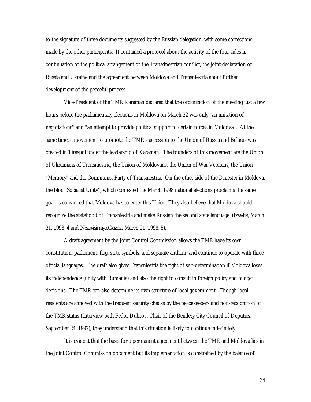to the signature of three documents suggested by the Russian delegation, with some corrections made by the other participants. It contained a protocol about the activity of the four sides in continuation of the political arrangement of the Transdnestrian conflict, the joint declaration of Russia and Ukraine and the agreement between Moldova and Transniestria about further development of the peaceful process.

Vice-President of the TMR Karaman declared that the organization of the meeting just a few hours before the parliamentary elections in Moldova on March 22 was only "an imitation of negotiations" and "an attempt to provide political support to certain forces in Moldova". At the same time, a movement to promote the TMR's accession to the Union of Russia and Belarus was created in Tiraspol under the leadership of Karaman. The founders of this movement are the Union of Ukrainians of Transniestria, the Union of Moldovans, the Union of War Veterans, the Union "Memory" and the Communist Party of Transniestria. On the other side of the Dniester in Moldova, the bloc "Socialist Unity", which contested the March 1998 national elections proclaims the same goal, is convinced that Moldova has to enter this Union. They also believe that Moldova should recognize the statehood of Transniestria and make Russian the second state language. (*Izvestia*, March 21, 1998, 4 and *Nezavisimaya Gazeta*, March 21, 1998, 5).

A draft agreement by the Joint Control Commission allows the TMR have its own constitution, parliament, flag, state symbols, and separate anthem, and continue to operate with three official languages. The draft also gives Transniestria the right of self-determination if Moldova loses its independence (unity with Rumania) and also the right to consult in foreign policy and budget decisions. The TMR can also determine its own structure of local government. Though local residents are annoyed with the frequent security checks by the peacekeepers and non-recognition of the TMR status (Interview with Fedor Dubrov, Chair of the Bendery City Council of Deputies, September 24, 1997), they understand that this situation is likely to continue indefinitely.

It is evident that the basis for a permanent agreement between the TMR and Moldova lies in the Joint Control Commission document but its implementation is constrained by the balance of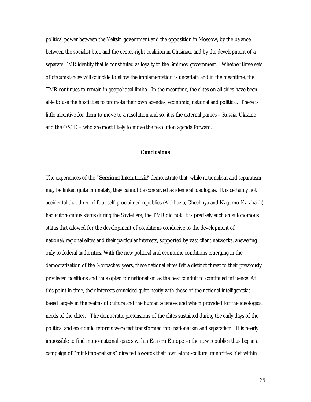political power between the Yeltsin government and the opposition in Moscow, by the balance between the socialist bloc and the center-right coalition in Chisinau, and by the development of a separate TMR identity that is constituted as loyalty to the Smirnov government. Whether three sets of circumstances will coincide to allow the implementation is uncertain and in the meantime, the TMR continues to remain in geopolitical limbo. In the meantime, the elites on all sides have been able to use the hostilities to promote their own agendas, economic, national and political. There is little incentive for them to move to a resolution and so, it is the external parties – Russia, Ukraine and the OSCE – who are most likely to move the resolution agenda forward.

### **Conclusions**

The experiences of the "*Secessionist Internationale*" demonstrate that, while nationalism and separatism may be linked quite intimately, they cannot be conceived as identical ideologies. It is certainly not accidental that three of four self-proclaimed republics (Abkhazia, Chechnya and Nagorno-Karabakh) had autonomous status during the Soviet era; the TMR did not. It is precisely such an autonomous status that allowed for the development of conditions conducive to the development of national/regional elites and their particular interests, supported by vast client networks, answering only to federal authorities. With the new political and economic conditions emerging in the democratization of the Gorbachev years, these national elites felt a distinct threat to their previously privileged positions and thus opted for nationalism as the best conduit to continued influence. At this point in time, their interests coincided quite neatly with those of the national intelligentsias, based largely in the realms of culture and the human sciences and which provided for the ideological needs of the elites. The democratic pretensions of the elites sustained during the early days of the political and economic reforms were fast transformed into nationalism and separatism. It is nearly impossible to find mono-national spaces within Eastern Europe so the new republics thus began a campaign of "mini-imperialisms" directed towards their own ethno-cultural minorities. Yet within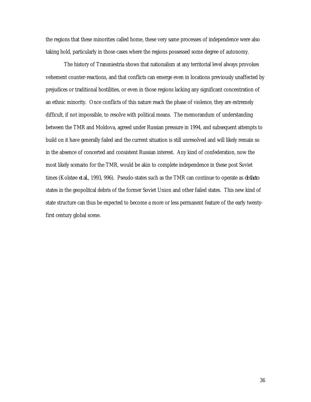the regions that these minorities called home, these very same processes of independence were also taking hold, particularly in those cases where the regions possessed some degree of autonomy.

The history of Transniestria shows that nationalism at any territorial level always provokes vehement counter-reactions, and that conflicts can emerge even in locations previously unaffected by prejudices or traditional hostilities, or even in those regions lacking any significant concentration of an ethnic minority. Once conflicts of this nature reach the phase of violence, they are extremely difficult, if not impossible, to resolve with political means. The memorandum of understanding between the TMR and Moldova, agreed under Russian pressure in 1994, and subsequent attempts to build on it have generally failed and the current situation is still unresolved and will likely remain so in the absence of concerted and consistent Russian interest. Any kind of confederation, now the most likely scenario for the TMR, would be akin to complete independence in these post Soviet times (Kolstø e *et al.*, 1993, 996). Pseudo-states such as the TMR can continue to operate as *de facto* states in the geopolitcal debris of the former Soviet Union and other failed states. This new kind of state structure can thus be expected to become a more or less permanent feature of the early twentyfirst century global scene.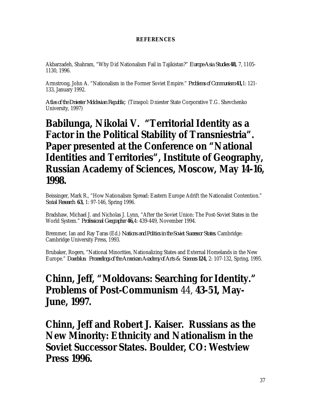### **REFERENCES**

Akbarzadeh, Shahram, "Why Did Nationalism Fail in Tajikistan?" *Europe-Asia Studies* **48,** 7, 1105- 1130, 1996.

Armstrong, John A. "Nationalism in the Former Soviet Empire." *Problems of Communism* **41,**1: 121- 133, January 1992.

*Atlas of the Dniester Moldavian Republic*. (Tiraspol: Dniester State Corporative T.G. Shevchenko University, 1997)

## **Babilunga, Nikolai V. "Territorial Identity as a Factor in the Political Stability of Transniestria". Paper presented at the Conference on "National Identities and Territories", Institute of Geography, Russian Academy of Sciences, Moscow, May 14-16, 1998.**

Beissinger, Mark R., "How Nationalism Spread: Eastern Europe Adrift the Nationalist Contention." *Social Research* **63,** 1: 97-146, Spring 1996.

Bradshaw, Michael J. and Nicholas J. Lynn, "After the Soviet Union: The Post-Soviet States in the World System." *Professional Geographer* **46,**4: 439-449, November 1994.

Bremmer, Ian and Ray Taras (Ed.) *Nations and Politics in the Soviet Successor States.* Cambridge: Cambridge University Press, 1993.

Brubaker, Rogers, "National Minorities, Nationalizing States and External Homelands in the New Europe." *Daedalus: Proceedings of the American Academy of Arts & Sciences* **124,** 2: 107-132, Spring, 1995.

## **Chinn, Jeff, "Moldovans: Searching for Identity."** *Problems of Post-Communism* 44, **43-51, May-June, 1997.**

**Chinn, Jeff and Robert J. Kaiser.** *Russians as the New Minority: Ethnicity and Nationalism in the Soviet Successor States.* **Boulder, CO: Westview Press 1996.**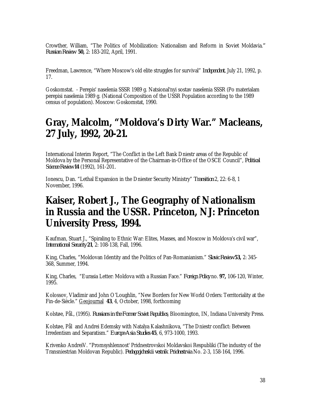Crowther, William, "The Politics of Mobilization: Nationalism and Reform in Soviet Moldavia.*" Russian Review* **50,** 2: 183-202, April, 1991.

Freedman, Lawrence, "Where Moscow's old elite struggles for survival" *Independent*, July 21, 1992, p. 17.

Goskomstat. - Perepis' naselenia SSSR 1989 g. Natsional'nyi sostav naselenia SSSR (Po materialam perepisi naselenia 1989 g. (National Composition of the USSR Population according to the 1989 census of population). Moscow: Goskomstat, 1990.

## **Gray, Malcolm, "Moldova's Dirty War."** *Macleans***, 27 July, 1992, 20-21.**

International Interim Report, "The Conflict in the Left Bank Dniestr areas of the Republic of Moldova by the Personal Representative of the Chairman-in-Office of the OSCE Council", *Political Science Review* **14** (1992), 161-201*.*

Ionescu, Dan. "Lethal Expansion in the Dniester Security Ministry" *Transition* 2, 22: 6-8, 1 November, 1996.

## **Kaiser, Robert J.,** *The Geography of Nationalism in Russia and the USSR***. Princeton, NJ: Princeton University Press, 1994.**

Kaufman, Stuart J., "Spiraling to Ethnic War: Elites, Masses, and Moscow in Moldova's civil war", *International Security* **21**, 2: 108-138, Fall, 1996.

King, Charles, "Moldovan Identity and the Politics of Pan-Romanianism." *Slavic Review* **53,** 2: 345- 368, Summer, 1994.

King, Charles, "Eurasia Letter: Moldova with a Russian Face." *Foreign Policy* no. **97,** 106-120, Winter, 1995.

Kolossov, Vladimir and John O'Loughlin, "New Borders for New World Orders: Territoriality at the Fin-de-Siècle." Geojournal **43**, 4, October, 1998, forthcoming

Kolstø e, Pål., (1995). *Russians in the Former Soviet Republics*. Bloomington, IN, Indiana University Press.

Kolstø e, Pål and Andrei Edemsky with Natalya Kalashnikova, "The Dniestr conflict: Between Irredentism and Separatism." *Europe-Asia Studies* **45**, 6, 973-1000, 1993.

Krivenko AndreiV. "Promsyshlennost' Pridnestrovskoi Moldavskoi Respubliki (The industry of the Transniestrian Moldovan Republic). *Pedagogicheskii vestnik Pridnestrvia* No. 2-3, 158-164, 1996.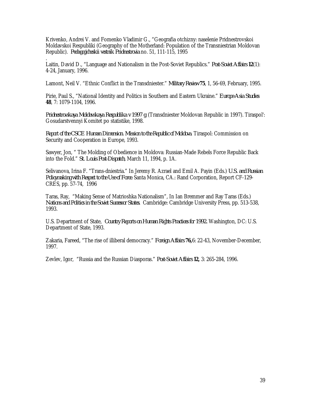Krivenko, Andrei V. and Fomenko Vladimir G., "Geografia otchizny: naselenie Pridnestrovskoi Moldavskoi Respubliki (Geography of the Motherland: Population of the Transniestrian Moldovan Republic). *Pedagogicheskii vestnik Pridnestrovia* no. 51, 111-115, 1995

. Laitin, David D., "Language and Nationalism in the Post-Soviet Republics." *Post-Soviet Affairs* **12**(1): 4-24, January, 1996.

Lamont, Neil V. "Ethnic Conflict in the Transdniester." *Military Review* **75**, 1, 56-69, February, 1995.

Pirie, Paul S., "National Identity and Politics in Southern and Eastern Ukraine." *Europe-Asia Studies* **48**, 7: 1079-1104, 1996.

*Pridnestrovskaya Moldavskaya Respublika v 1997 g.* (Transdniester Moldovan Republic in 1997). Tiraspol': Gosudarstvennyi Komitet po statistike, 1998.

*Report of the CSCE Human Dimension. Mission to the Republic of Moldova*. Tiraspol: Commission on Security and Cooperation in Europe, 1993.

Sawyer, Jon, " The Molding of Obedience in Moldova: Russian-Made Rebels Force Republic Back into the Fold." *St. Louis Post-Dispatch*, March 11, 1994, p. 1A.

Selivanova, Irina F. "Trans-dniestria." In Jeremy R. Azrael and Emil A. Payin (Eds.) *U.S. and Russian Policymaking with Respect to the Use of Force.* Santa Monica, CA.: Rand Corporation, Report CF-129- CRES, pp. 57-74, 1996

Taras, Ray, "Making Sense of Matrioshka Nationalism", In Ian Bremmer and Ray Taras (Eds.) *Nations and Politics in the Soviet Successor States.* Cambridge: Cambridge University Press, pp. 513-538, 1993.

U.S. Department of State, *Country Reports on Human Rights Practices for 1992.* Washington, DC: U.S. Department of State, 1993.

Zakaria, Fareed, "The rise of illiberal democracy." *Foreign Affairs* **76,**6: 22-43, November-December, 1997.

Zevlev, Igor, "Russia and the Russian Diasporas." *Post-Soviet Affairs* **12,** 3: 265-284, 1996.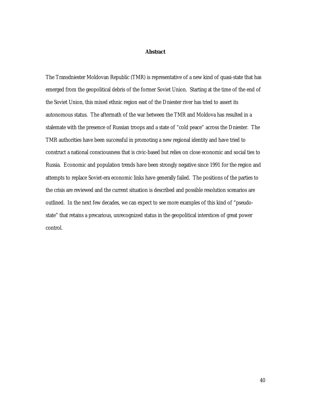### **Abstract**

The Transdniester Moldovan Republic (TMR) is representative of a new kind of quasi-state that has emerged from the geopolitical debris of the former Soviet Union. Starting at the time of the end of the Soviet Union, this mixed ethnic region east of the Dniester river has tried to assert its autonomous status. The aftermath of the war between the TMR and Moldova has resulted in a stalemate with the presence of Russian troops and a state of "cold peace" across the Dniester. The TMR authorities have been successful in promoting a new regional identity and have tried to construct a national consciousness that is civic-based but relies on close economic and social ties to Russia. Economic and population trends have been strongly negative since 1991 for the region and attempts to replace Soviet-era economic links have generally failed. The positions of the parties to the crisis are reviewed and the current situation is described and possible resolution scenarios are outlined. In the next few decades, we can expect to see more examples of this kind of "pseudostate" that retains a precarious, unrecognized status in the geopolitical interstices of great power control.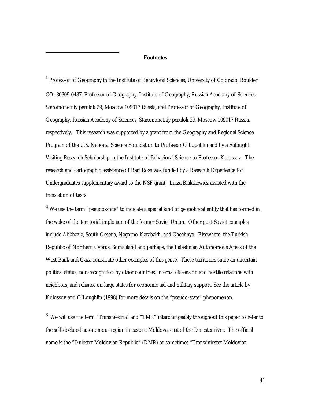#### **Footnotes**

 $\overline{a}$ 

**1** Professor of Geography in the Institute of Behavioral Sciences, University of Colorado, Boulder CO. 80309-0487, Professor of Geography, Institute of Geography, Russian Academy of Sciences, Staromonetniy perulok 29, Moscow 109017 Russia, and Professor of Geography, Institute of Geography, Russian Academy of Sciences, Staromonetniy perulok 29, Moscow 109017 Russia, respectively. This research was supported by a grant from the Geography and Regional Science Program of the U.S. National Science Foundation to Professor O'Loughlin and by a Fulbright Visiting Research Scholarship in the Institute of Behavioral Science to Professor Kolossov. The research and cartographic assistance of Bert Ross was funded by a Research Experience for Undergraduates supplementary award to the NSF grant. Luiza Bialasiewicz assisted with the translation of texts.

<sup>2</sup> We use the term "pseudo-state" to indicate a special kind of geopolitical entity that has formed in the wake of the territorial implosion of the former Soviet Union. Other post-Soviet examples include Abkhazia, South Ossetia, Nagorno-Karabakh, and Chechnya. Elsewhere, the Turkish Republic of Northern Cyprus, Somaliland and perhaps, the Palestinian Autonomous Areas of the West Bank and Gaza constitute other examples of this genre. These territories share an uncertain political status, non-recognition by other countries, internal dissension and hostile relations with neighbors, and reliance on large states for economic aid and military support. See the article by Kolossov and O'Loughlin (1998) for more details on the "pseudo-state" phenomenon.

**3** We will use the term "Transniestria" and "TMR" interchangeably throughout this paper to refer to the self-declared autonomous region in eastern Moldova, east of the Dniester river. The official name is the "Dniester Moldovian Republic" (DMR) or sometimes "Transdniester Moldovian